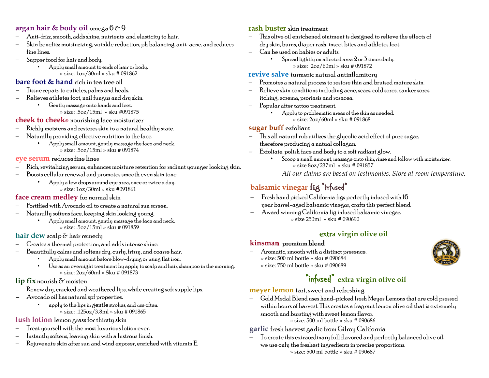### **argan hair & body oil** omega 6 & 9

- − Anti-frizz, smooth, adds shine, nutrients and elasticity to hair.
- − Skin benefits; moisturizing, wrinkle reduction, ph balancing, anti-acne, and reduces fine lines.
- − Supper food for hair and body.
	- Apply small amount to ends of hair or body. » size: 1oz/30ml » sku # 091862

#### **bare foot & hand** rich in tea tree oil

- <sup>−</sup>Tissue repair, to cuticles, palms and heals.
- <sup>−</sup>Relieves athletes foot, nail fungus and dry skin.
	- Gently massage onto hands and feet. » size: .5oz/15ml » sku #091875

#### **cheek to cheek®** nourishing face moisturizer

- − Richly moistens and restores skin to a natural healthy state.
- Naturally providing effective nutrition to the face.
	- *•* Apply small amount, gently massage the face and neck. » size: .5oz/15ml » sku # 091874

#### **eye serum** reduces fine lines

- − Rich, revitalizing serum, enhances moisture retention for radiant younger looking skin.
- − Boosts cellular renewal and promotes smooth even skin tone.
	- Apply a few drops around eye area, once or twice a day. » size: 1oz/30ml » sku #091861

#### **face cream medley** for normal skin

- − Fortified with Avocado oil to create a natural sun screen.
- − Naturally softens face, keeping skin looking young.
	- *•* Apply small amount, gently massage the face and neck. » size: .5oz/15ml » sku # 091859

#### **hair dew** scalp & hair remedy

- − Creates a thermal protection, and adds intense shine.
- − Beautifully calms and softens dry, curly, frizzy, and coarse hair.
	- Apply small amount before blow-drying or using flat iron.
	- Use as an overnight treatment by apply to scalp and hair, shampoo in the morning. » size: 2oz/60ml » Sku # 091873

#### **lip fix** nourish & moisten

- <sup>−</sup>Renew dry, cracked and weathered lips, while creating soft supple lips.
- <sup>−</sup>Avocado oil has natural spf properties.
	- apply to the lips in gentle strokes, and use often. » size: .125oz/3.8ml » sku # 091865

#### **lush lotion** lemon grass for thirsty skin

- Treat yourself with the most luxurious lotion ever.
- − Instantly softens, leaving skin with a lustrous finish.
- − Rejuvenate skin after sun and wind exposer, enriched with vitamin E.

#### **rash buster** skin treatment

- This olive oil enrichened ointment is designed to relieve the effects of dry skin, burns, diaper rash, insect bites and athletes foot.
- − Can be used on babies or adults.
	- Spread lightly on affected area 2 or 3 times daily. » size: 2oz/60ml » sku # 091872

#### **revive salve** turmeric natural antinflamitory

- Promotes a natural process to restore thin and bruised mature skin.
- − Relieve skin conditions including acne, scars, cold sores, canker sores, itching, eczema, psoriasis and rosacea.
- − Popular after tattoo treatment.
	- Apply to problematic areas of the skin as needed.
		- » size: 2oz/60ml » sku # 091868

#### **sugar buff** exfoliant

- <sup>−</sup>This all natural rub utilizes the glycolic acid effect of pure sugar, therefore producing a natual collagan.
- <sup>−</sup>Exfoliate, polish face and body to a soft radiant glow.
	- *•* Scoop a small amount, massage onto skin, rinse and follow with moisturizer. » size 8oz/237ml » sku # 091857
		- *All our claims are based on testimonies. Store at room temperature*.

## **balsamic vinegar** fig "infused"

- − Fresh hand picked California figs perfectly infused with 16 year barrel-aged balsamic vinegar, crafts this perfect blend.
- − Award winning California fig infused balsamic vinegar. » size 250ml » sku # 090690

#### **extra virgin olive oil**

#### **kinsman** premium blend

− Aromatic, smooth with a distinct presence. » size: 500 ml bottle » sku # 090684



# "infused" **extra virgin olive oil**

**meyer lemon** tart, sweet and refreshing

− Gold Medal Blend uses hand-picked fresh Meyer Lemons that are cold pressed within hours of harvest. This creates a fragrant lemon olive oil that is extremely smooth and bursting with sweet lemon flavor.

» size: 500 ml bottle » sku # 090686

- **garlic** fresh harvest garlic from Gilroy California
	- − To create this extraordinary full flavored and perfectly balanced olive oil, we use only the freshest ingredients in precise proportions. » size: 500 ml bottle » sku # 090687